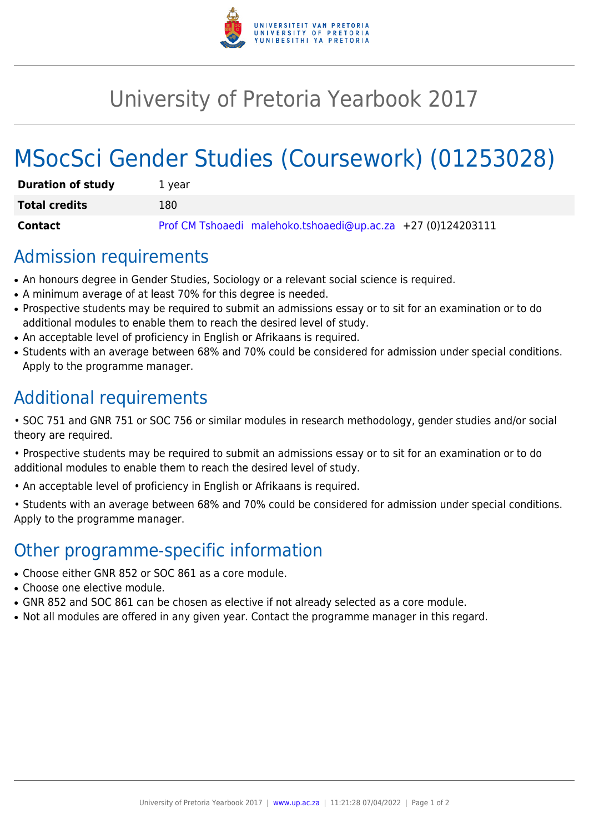

## University of Pretoria Yearbook 2017

# MSocSci Gender Studies (Coursework) (01253028)

| <b>Duration of study</b> | 1 vear                                                       |
|--------------------------|--------------------------------------------------------------|
| <b>Total credits</b>     | 180                                                          |
| Contact                  | Prof CM Tshoaedi malehoko.tshoaedi@up.ac.za +27 (0)124203111 |

#### Admission requirements

- An honours degree in Gender Studies, Sociology or a relevant social science is required.
- A minimum average of at least 70% for this degree is needed.
- Prospective students may be required to submit an admissions essay or to sit for an examination or to do additional modules to enable them to reach the desired level of study.
- An acceptable level of proficiency in English or Afrikaans is required.
- Students with an average between 68% and 70% could be considered for admission under special conditions. Apply to the programme manager.

## Additional requirements

- SOC 751 and GNR 751 or SOC 756 or similar modules in research methodology, gender studies and/or social theory are required.
- Prospective students may be required to submit an admissions essay or to sit for an examination or to do additional modules to enable them to reach the desired level of study.
- An acceptable level of proficiency in English or Afrikaans is required.
- Students with an average between 68% and 70% could be considered for admission under special conditions. Apply to the programme manager.

## Other programme-specific information

- Choose either GNR 852 or SOC 861 as a core module.
- Choose one elective module.
- GNR 852 and SOC 861 can be chosen as elective if not already selected as a core module.
- Not all modules are offered in any given year. Contact the programme manager in this regard.